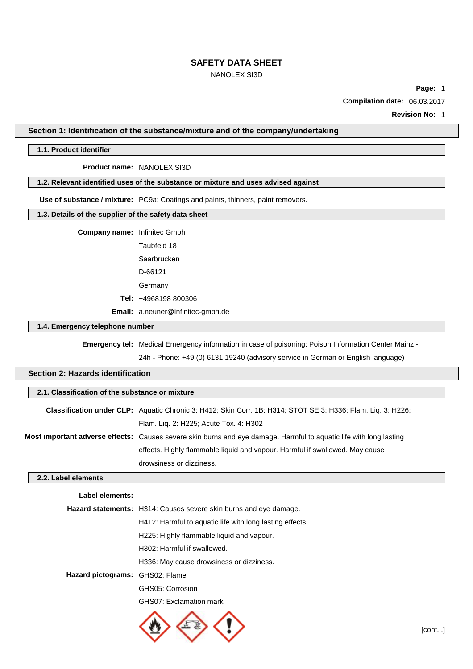## NANOLEX SI3D

**Page:** 1

**Compilation date:** 06.03.2017

**Revision No:** 1

### **Section 1: Identification of the substance/mixture and of the company/undertaking**

#### **1.1. Product identifier**

#### **Product name:** NANOLEX SI3D

### **1.2. Relevant identified uses of the substance or mixture and uses advised against**

**Use of substance / mixture:** PC9a: Coatings and paints, thinners, paint removers.

#### **1.3. Details of the supplier of the safety data sheet**

**Company name:** Infinitec Gmbh

Taubfeld 18 Saarbrucken D-66121

Germany

**Tel:** +4968198 800306

**Email:** [a.neuner@infinitec-gmbh.de](mailto:a.neuner@infinitec-gmbh.de)

## **1.4. Emergency telephone number**

**Emergency tel:** Medical Emergency information in case of poisoning: Poison Information Center Mainz -

24h - Phone: +49 (0) 6131 19240 (advisory service in German or English language)

# **Section 2: Hazards identification**

### **2.1. Classification of the substance or mixture**

| Classification under CLP: Aquatic Chronic 3: H412; Skin Corr. 1B: H314; STOT SE 3: H336; Flam. Liq. 3: H226;              |
|---------------------------------------------------------------------------------------------------------------------------|
| Flam. Liq. 2: H225; Acute Tox. 4: H302                                                                                    |
| <b>Most important adverse effects:</b> Causes severe skin burns and eye damage. Harmful to aguatic life with long lasting |
| effects. Highly flammable liquid and vapour. Harmful if swallowed. May cause                                              |
| drowsiness or dizziness.                                                                                                  |

### **2.2. Label elements**

### **Label elements:**

|                                 | <b>Hazard statements:</b> H314: Causes severe skin burns and eye damage. |  |  |
|---------------------------------|--------------------------------------------------------------------------|--|--|
|                                 | H412: Harmful to aquatic life with long lasting effects.                 |  |  |
|                                 | H225: Highly flammable liquid and vapour.                                |  |  |
| H302: Harmful if swallowed.     |                                                                          |  |  |
|                                 | H336: May cause drowsiness or dizziness.                                 |  |  |
| Hazard pictograms: GHS02: Flame |                                                                          |  |  |
|                                 | GHS05: Corrosion                                                         |  |  |
|                                 | GHS07: Exclamation mark                                                  |  |  |

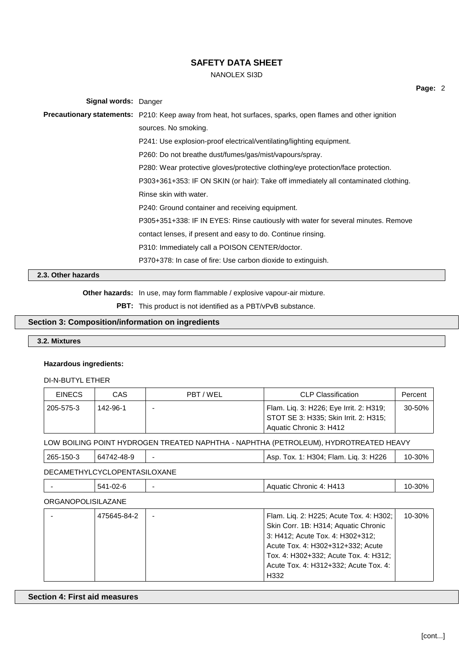# NANOLEX SI3D

| <b>Signal words: Danger</b> |                                                                                                                  |
|-----------------------------|------------------------------------------------------------------------------------------------------------------|
|                             | <b>Precautionary statements:</b> P210: Keep away from heat, hot surfaces, sparks, open flames and other ignition |
|                             | sources. No smoking.                                                                                             |
|                             | P241: Use explosion-proof electrical/ventilating/lighting equipment.                                             |
|                             | P260: Do not breathe dust/fumes/gas/mist/vapours/spray.                                                          |
|                             | P280: Wear protective gloves/protective clothing/eye protection/face protection.                                 |
|                             | P303+361+353: IF ON SKIN (or hair): Take off immediately all contaminated clothing.                              |
|                             | Rinse skin with water.                                                                                           |
|                             | P240: Ground container and receiving equipment.                                                                  |
|                             | P305+351+338: IF IN EYES: Rinse cautiously with water for several minutes. Remove                                |
|                             | contact lenses, if present and easy to do. Continue rinsing.                                                     |
|                             | P310: Immediately call a POISON CENTER/doctor.                                                                   |
|                             | P370+378: In case of fire: Use carbon dioxide to extinguish.                                                     |
| 2.3. Other hazards          |                                                                                                                  |

**Other hazards:** In use, may form flammable / explosive vapour-air mixture.

**PBT:** This product is not identified as a PBT/vPvB substance.

# **Section 3: Composition/information on ingredients**

## **3.2. Mixtures**

## **Hazardous ingredients:**

DI-N-BUTYL ETHER

| <b>EINECS</b> | CAS      | PBT / WEL | <b>CLP Classification</b>                                                        | Percent |
|---------------|----------|-----------|----------------------------------------------------------------------------------|---------|
| 205-575-3     | 142-96-1 |           | Flam. Lig. 3: H226; Eye Irrit. 2: H319;<br>STOT SE 3: H335; Skin Irrit. 2: H315; | 30-50%  |
|               |          |           | Aquatic Chronic 3: H412                                                          |         |

LOW BOILING POINT HYDROGEN TREATED NAPHTHA - NAPHTHA (PETROLEUM), HYDROTREATED HEAVY

| 265-150-3 | 64742-48-9 | . Tox. 1: H304; Flam. Lig. 3: H226<br>Asp. | 10-30% |
|-----------|------------|--------------------------------------------|--------|
|           |            |                                            |        |

DECAMETHYLCYCLOPENTASILOXANE

|  | ററ<br>$-54^4$<br>∼ |  | $\sim$ H41 $^{\circ}$<br>$\Delta$ $\sim$<br>Chronic<br>uatic<br>Δ.<br>−∿<br>◡ | .ס∩כ<br>ື |
|--|--------------------|--|-------------------------------------------------------------------------------|-----------|
|--|--------------------|--|-------------------------------------------------------------------------------|-----------|

ORGANOPOLISILAZANE

| 475645-84-2 | Flam. Liq. 2: H225; Acute Tox. 4: H302; | 10-30% |
|-------------|-----------------------------------------|--------|
|             | Skin Corr. 1B: H314; Aquatic Chronic    |        |
|             | 3: H412; Acute Tox. 4: H302+312;        |        |
|             | Acute Tox. 4: H302+312+332; Acute       |        |
|             | Tox. 4: H302+332; Acute Tox. 4: H312;   |        |
|             | Acute Tox. 4: H312+332; Acute Tox. 4:   |        |
|             | H332                                    |        |

**Section 4: First aid measures**

**Page:** 2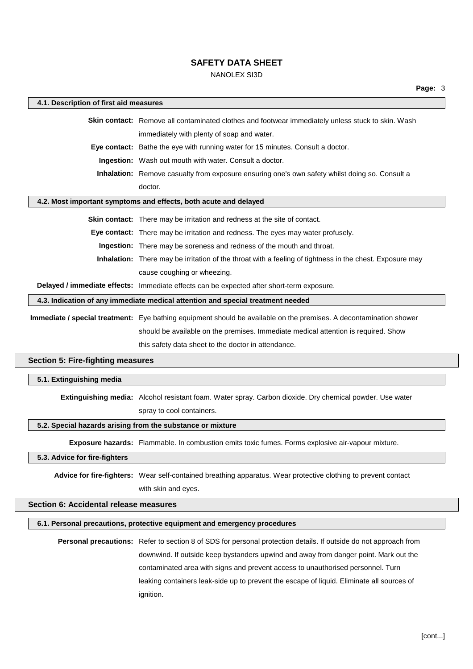# NANOLEX SI3D

| 4.1. Description of first aid measures                                          |                                                                                                                    |  |  |
|---------------------------------------------------------------------------------|--------------------------------------------------------------------------------------------------------------------|--|--|
|                                                                                 | Skin contact: Remove all contaminated clothes and footwear immediately unless stuck to skin. Wash                  |  |  |
|                                                                                 | immediately with plenty of soap and water.                                                                         |  |  |
|                                                                                 | Eye contact: Bathe the eye with running water for 15 minutes. Consult a doctor.                                    |  |  |
|                                                                                 | Ingestion: Wash out mouth with water. Consult a doctor.                                                            |  |  |
|                                                                                 | Inhalation: Remove casualty from exposure ensuring one's own safety whilst doing so. Consult a                     |  |  |
|                                                                                 | doctor.                                                                                                            |  |  |
|                                                                                 | 4.2. Most important symptoms and effects, both acute and delayed                                                   |  |  |
|                                                                                 | Skin contact: There may be irritation and redness at the site of contact.                                          |  |  |
|                                                                                 | Eye contact: There may be irritation and redness. The eyes may water profusely.                                    |  |  |
|                                                                                 | Ingestion: There may be soreness and redness of the mouth and throat.                                              |  |  |
|                                                                                 | Inhalation: There may be irritation of the throat with a feeling of tightness in the chest. Exposure may           |  |  |
|                                                                                 | cause coughing or wheezing.                                                                                        |  |  |
|                                                                                 | Delayed / immediate effects: Immediate effects can be expected after short-term exposure.                          |  |  |
| 4.3. Indication of any immediate medical attention and special treatment needed |                                                                                                                    |  |  |
|                                                                                 | Immediate / special treatment: Eye bathing equipment should be available on the premises. A decontamination shower |  |  |
|                                                                                 | should be available on the premises. Immediate medical attention is required. Show                                 |  |  |
|                                                                                 | this safety data sheet to the doctor in attendance.                                                                |  |  |
| <b>Section 5: Fire-fighting measures</b>                                        |                                                                                                                    |  |  |
| 5.1. Extinguishing media                                                        |                                                                                                                    |  |  |
|                                                                                 |                                                                                                                    |  |  |
|                                                                                 | Extinguishing media: Alcohol resistant foam. Water spray. Carbon dioxide. Dry chemical powder. Use water           |  |  |
|                                                                                 | spray to cool containers.                                                                                          |  |  |
|                                                                                 | 5.2. Special hazards arising from the substance or mixture                                                         |  |  |
|                                                                                 | Exposure hazards: Flammable. In combustion emits toxic fumes. Forms explosive air-vapour mixture.                  |  |  |
| 5.3. Advice for fire-fighters                                                   |                                                                                                                    |  |  |
|                                                                                 | Advice for fire-fighters: Wear self-contained breathing apparatus. Wear protective clothing to prevent contact     |  |  |
|                                                                                 | with skin and eyes.                                                                                                |  |  |

## **Section 6: Accidental release measures**

### **6.1. Personal precautions, protective equipment and emergency procedures**

**Personal precautions:** Refer to section 8 of SDS for personal protection details. If outside do not approach from downwind. If outside keep bystanders upwind and away from danger point. Mark out the contaminated area with signs and prevent access to unauthorised personnel. Turn leaking containers leak-side up to prevent the escape of liquid. Eliminate all sources of ignition.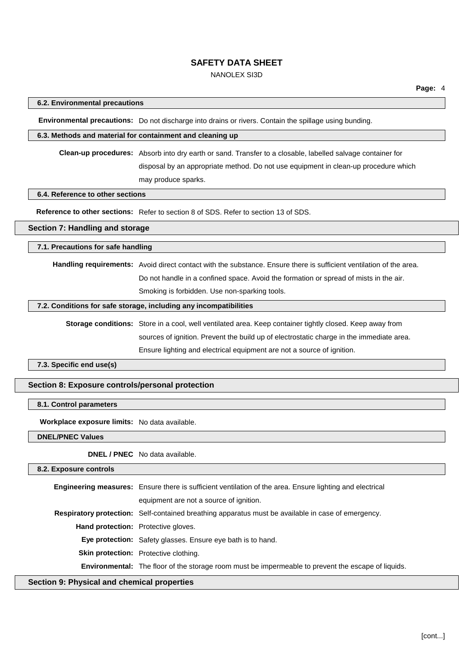## NANOLEX SI3D

### **6.2. Environmental precautions**

**Environmental precautions:** Do not discharge into drains or rivers. Contain the spillage using bunding.

#### **6.3. Methods and material for containment and cleaning up**

**Clean-up procedures:** Absorb into dry earth or sand. Transfer to a closable, labelled salvage container for disposal by an appropriate method. Do not use equipment in clean-up procedure which may produce sparks.

#### **6.4. Reference to other sections**

**Reference to other sections:** Refer to section 8 of SDS. Refer to section 13 of SDS.

### **Section 7: Handling and storage**

**7.1. Precautions for safe handling**

**Handling requirements:** Avoid direct contact with the substance. Ensure there is sufficient ventilation of the area. Do not handle in a confined space. Avoid the formation or spread of mists in the air. Smoking is forbidden. Use non-sparking tools.

### **7.2. Conditions for safe storage, including any incompatibilities**

**Storage conditions:** Store in a cool, well ventilated area. Keep container tightly closed. Keep away from sources of ignition. Prevent the build up of electrostatic charge in the immediate area. Ensure lighting and electrical equipment are not a source of ignition.

**7.3. Specific end use(s)**

#### **Section 8: Exposure controls/personal protection**

### **8.1. Control parameters**

**Workplace exposure limits:** No data available.

**DNEL/PNEC Values**

**DNEL / PNEC** No data available.

**8.2. Exposure controls**

| <b>Engineering measures:</b> Ensure there is sufficient ventilation of the area. Ensure lighting and electrical |
|-----------------------------------------------------------------------------------------------------------------|
| equipment are not a source of ignition.                                                                         |
| Respiratory protection: Self-contained breathing apparatus must be available in case of emergency.              |
| <b>Hand protection:</b> Protective gloves.                                                                      |
| <b>Eye protection:</b> Safety glasses. Ensure eye bath is to hand.                                              |
| <b>Skin protection:</b> Protective clothing.                                                                    |
| <b>Environmental:</b> The floor of the storage room must be impermeable to prevent the escape of liquids.       |
|                                                                                                                 |

## **Section 9: Physical and chemical properties**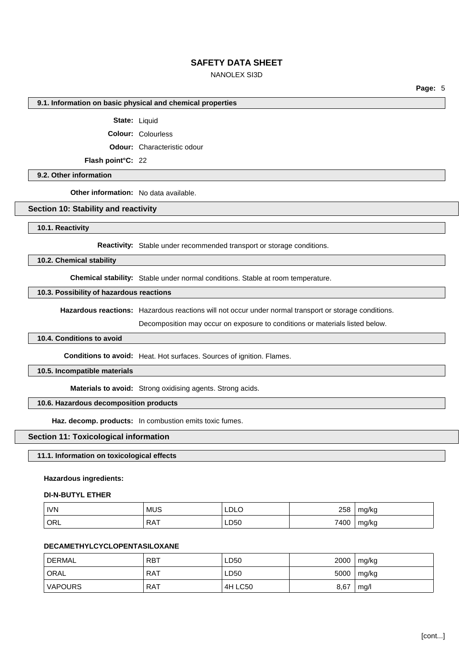## NANOLEX SI3D

**Page:** 5

#### **9.1. Information on basic physical and chemical properties**

**State:** Liquid

**Colour:** Colourless

**Odour:** Characteristic odour

**Flash point°C:** 22

**9.2. Other information**

**Other information:** No data available.

### **Section 10: Stability and reactivity**

**10.1. Reactivity**

**Reactivity:** Stable under recommended transport or storage conditions.

**10.2. Chemical stability**

**Chemical stability:** Stable under normal conditions. Stable at room temperature.

### **10.3. Possibility of hazardous reactions**

**Hazardous reactions:** Hazardous reactions will not occur under normal transport or storage conditions.

Decomposition may occur on exposure to conditions or materials listed below.

## **10.4. Conditions to avoid**

**Conditions to avoid:** Heat. Hot surfaces. Sources of ignition. Flames.

**10.5. Incompatible materials**

**Materials to avoid:** Strong oxidising agents. Strong acids.

### **10.6. Hazardous decomposition products**

**Haz. decomp. products:** In combustion emits toxic fumes.

#### **Section 11: Toxicological information**

**11.1. Information on toxicological effects**

#### **Hazardous ingredients:**

#### **DI-N-BUTYL ETHER**

| <b>IVN</b> | <b>MUS</b>      | LDLO | 258  | mg/kg |
|------------|-----------------|------|------|-------|
| ORL        | <b>RAT</b><br>. | LD50 | 7400 | mg/kg |

### **DECAMETHYLCYCLOPENTASILOXANE**

| DERMAL         | <b>RBT</b> | LD50    | 2000 | mg/kg |
|----------------|------------|---------|------|-------|
| ORAL           | <b>RAT</b> | LD50    | 5000 | mg/kg |
| <b>VAPOURS</b> | <b>RAT</b> | 4H LC50 | 8,67 | mg/l  |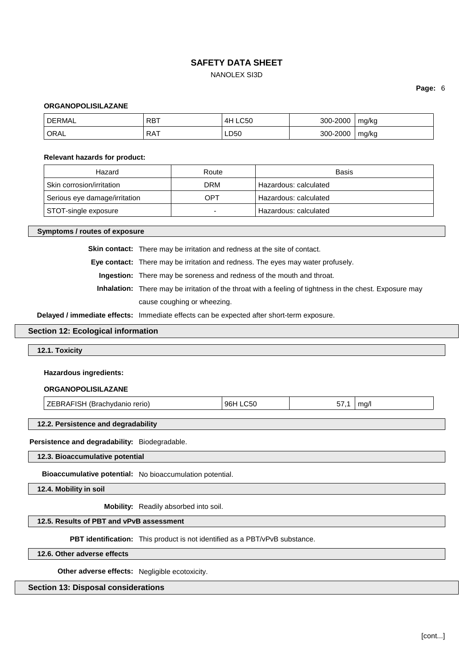## NANOLEX SI3D

**Page:** 6

#### **ORGANOPOLISILAZANE**

| DΕ<br>⊇MA∟        | רסם<br>RD. | $\sim$ $\sim$ $\sim$<br>∕ ⊢ | -2000<br>-۹NN   | mg/kg      |
|-------------------|------------|-----------------------------|-----------------|------------|
| ORAL <sup>'</sup> | RAT        | nro<br>LDOU                 | $-2000$<br>300- | mg/kg<br>ີ |

#### **Relevant hazards for product:**

| Hazard                        | Route | Basis                 |
|-------------------------------|-------|-----------------------|
| Skin corrosion/irritation     | DRM   | Hazardous: calculated |
| Serious eye damage/irritation | OPT   | Hazardous: calculated |
| STOT-single exposure          | -     | Hazardous: calculated |

**Symptoms / routes of exposure**

**Skin contact:** There may be irritation and redness at the site of contact.

**Eye contact:** There may be irritation and redness. The eyes may water profusely.

**Ingestion:** There may be soreness and redness of the mouth and throat.

**Inhalation:** There may be irritation of the throat with a feeling of tightness in the chest. Exposure may cause coughing or wheezing.

**Delayed / immediate effects:** Immediate effects can be expected after short-term exposure.

#### **Section 12: Ecological information**

**12.1. Toxicity**

#### **Hazardous ingredients:**

#### **ORGANOPOLISILAZANE**

| <b>ZEBRAFISH (Brachvdanio rerio)</b><br><b>LC50</b><br>96H<br>ma/l<br>ວ7 |
|--------------------------------------------------------------------------|
|--------------------------------------------------------------------------|

### **12.2. Persistence and degradability**

**Persistence and degradability:** Biodegradable.

**12.3. Bioaccumulative potential**

**Bioaccumulative potential:** No bioaccumulation potential.

**12.4. Mobility in soil**

**Mobility:** Readily absorbed into soil.

### **12.5. Results of PBT and vPvB assessment**

**PBT identification:** This product is not identified as a PBT/vPvB substance.

**12.6. Other adverse effects**

**Other adverse effects:** Negligible ecotoxicity.

### **Section 13: Disposal considerations**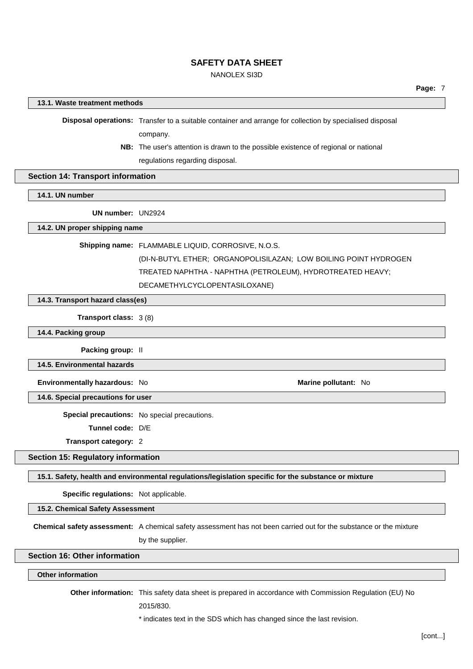## NANOLEX SI3D

### **13.1. Waste treatment methods**

**Disposal operations:** Transfer to a suitable container and arrange for collection by specialised disposal company.

**NB:** The user's attention is drawn to the possible existence of regional or national

regulations regarding disposal.

#### **Section 14: Transport information**

## **14.1. UN number**

**UN number:** UN2924

### **14.2. UN proper shipping name**

**Shipping name:** FLAMMABLE LIQUID, CORROSIVE, N.O.S.

(DI-N-BUTYL ETHER; ORGANOPOLISILAZAN; LOW BOILING POINT HYDROGEN TREATED NAPHTHA - NAPHTHA (PETROLEUM), HYDROTREATED HEAVY;

DECAMETHYLCYCLOPENTASILOXANE)

### **14.3. Transport hazard class(es)**

**Transport class:** 3 (8)

**14.4. Packing group**

**Packing group:** II

**14.5. Environmental hazards**

**Environmentally hazardous:** No **Marine Marine Marine Marine Marine Marine Marine Marine Marine Marine** 

**14.6. Special precautions for user**

**Special precautions:** No special precautions.

**Tunnel code:** D/E

**Transport category:** 2

## **Section 15: Regulatory information**

#### **15.1. Safety, health and environmental regulations/legislation specific for the substance or mixture**

**Specific regulations:** Not applicable.

**15.2. Chemical Safety Assessment**

**Chemical safety assessment:** A chemical safety assessment has not been carried out for the substance or the mixture

by the supplier.

# **Section 16: Other information**

### **Other information**

**Other information:** This safety data sheet is prepared in accordance with Commission Regulation (EU) No

2015/830.

\* indicates text in the SDS which has changed since the last revision.